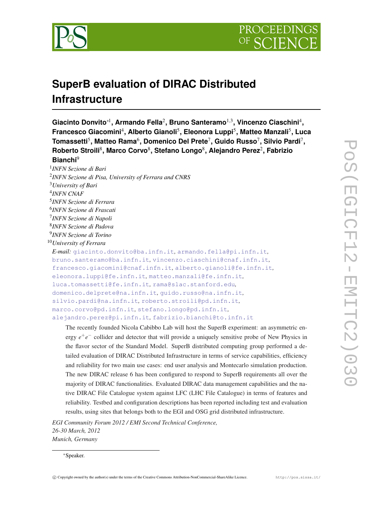

# **SuperB evaluation of DIRAC Distributed Infrastructure**

**Giacinto Donvito**∗<sup>1</sup> **, Armando Fella**<sup>2</sup> **, Bruno Santeramo**1,<sup>3</sup> **, Vincenzo Ciaschini**<sup>4</sup> **, Francesco Giacomini**<sup>4</sup> **, Alberto Gianoli**<sup>5</sup> **, Eleonora Luppi**<sup>5</sup> **, Matteo Manzali**<sup>5</sup> **, Luca**  $\mathsf{Tomassetti}^5, \mathsf{Matteo} \ \mathsf{Rama}^6, \mathsf{Domenico} \ \mathsf{Del} \ \mathsf{Prete}^7, \mathsf{Guido} \ \mathsf{Russo}^7, \mathsf{Silvio} \ \mathsf{Pardi}^7,$ **Roberto Stroili**<sup>8</sup> **, Marco Corvo**<sup>8</sup> **, Stefano Longo**<sup>8</sup> **, Alejandro Perez**<sup>2</sup> **, Fabrizio Bianchi**<sup>9</sup>

1 *INFN Sezione di Bari* 2 *INFN Sezione di Pisa, University of Ferrara and CNRS* <sup>3</sup>*University of Bari* 4 *INFN CNAF* 5 *INFN Sezione di Ferrara* 6 *INFN Sezione di Frascati* 7 *INFN Sezione di Napoli* 8 *INFN Sezione di Padova* 9 *INFN Sezione di Torino* <sup>10</sup>*University of Ferrara E-mail:* [giacinto.donvito@ba.infn.it](mailto:giacinto.donvito@ba.infn.it)*,* [armando.fella@pi.infn.it](mailto:armando.fella@pi.infn.it)*,* [bruno.santeramo@ba.infn.it](mailto:bruno.santeramo@ba.infn.it)*,* [vincenzo.ciaschini@cnaf.infn.it](mailto:vincenzo.ciaschini@cnaf.infn.it)*,* [francesco.giacomini@cnaf.infn.it](mailto:francesco.giacomini@cnaf.infn.it)*,* [alberto.gianoli@fe.infn.it](mailto:alberto.gianoli@fe.infn.it)*,* [eleonora.luppi@fe.infn.it](mailto:eleonora.luppi@fe.infn.it)*,* [matteo.manzali@fe.infn.it](mailto:matteo.manzali@fe.infn.it)*,* [luca.tomassetti@fe.infn.it](mailto:luca.tomassetti@fe.infn.it)*,* [rama@slac.stanford.edu](mailto:rama@slac.stanford.edu)*,* [domenico.delprete@na.infn.it](mailto:domenico.delprete@na.infn.it)*,* [guido.russo@na.infn.it](mailto:guido.russo@na.infn.it)*,* [silvio.pardi@na.infn.it](mailto:silvio.pardi@na.infn.it)*,* [roberto.stroili@pd.infn.it](mailto:roberto.stroili@pd.infn.it)*,* [marco.corvo@pd.infn.it](mailto:marco.corvo@pd.infn.it)*,* [stefano.longo@pd.infn.it](mailto:stefano.longo@pd.infn.it)*,* [alejandro.perez@pi.infn.it](mailto:alejandro.perez@pi.infn.it)*,* [fabrizio.bianchi@to.infn.it](mailto:fabrizio.bianchi@to.infn.it)

The recently founded Nicola Cabibbo Lab will host the SuperB experiment: an asymmetric energy  $e^+e^-$  collider and detector that will provide a uniquely sensitive probe of New Physics in the flavor sector of the Standard Model. SuperB distributed computing group performed a detailed evaluation of DIRAC Distributed Infrastructure in terms of service capabilities, efficiency and reliability for two main use cases: end user analysis and Montecarlo simulation production. The new DIRAC release 6 has been configured to respond to SuperB requirements all over the majority of DIRAC functionalities. Evaluated DIRAC data management capabilities and the native DIRAC File Catalogue system against LFC (LHC File Catalogue) in terms of features and reliability. Testbed and configuration descriptions has been reported including test and evaluation results, using sites that belongs both to the EGI and OSG grid distributed infrastructure.

*EGI Community Forum 2012 / EMI Second Technical Conference, 26-30 March, 2012 Munich, Germany*

#### <sup>∗</sup>Speaker.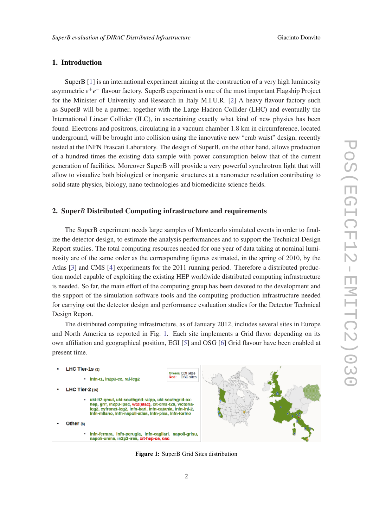# 1. Introduction

SuperB [[1](#page-12-0)] is an international experiment aiming at the construction of a very high luminosity asymmetric *e*<sup>+</sup>*e*<sup>−</sup> flavour factory. SuperB experiment is one of the most important Flagship Project for the Minister of University and Research in Italy M.I.U.R. [\[2](#page-12-0)] A heavy flavour factory such as SuperB will be a partner, together with the Large Hadron Collider (LHC) and eventually the International Linear Collider (ILC), in ascertaining exactly what kind of new physics has been found. Electrons and positrons, circulating in a vacuum chamber 1.8 km in circumference, located underground, will be brought into collision using the innovative new "crab waist" design, recently tested at the INFN Frascati Laboratory. The design of SuperB, on the other hand, allows production of a hundred times the existing data sample with power consumption below that of the current generation of facilities. Moreover SuperB will provide a very powerful synchrotron light that will allow to visualize both biological or inorganic structures at a nanometer resolution contributing to solid state physics, biology, nano technologies and biomedicine science fields.

#### 2. Super*B* Distributed Computing infrastructure and requirements

The SuperB experiment needs large samples of Montecarlo simulated events in order to finalize the detector design, to estimate the analysis performances and to support the Technical Design Report studies. The total computing resources needed for one year of data taking at nominal luminosity are of the same order as the corresponding figures estimated, in the spring of 2010, by the Atlas [\[3\]](#page-12-0) and CMS [[4](#page-12-0)] experiments for the 2011 running period. Therefore a distributed production model capable of exploiting the existing HEP worldwide distributed computing infrastructure is needed. So far, the main effort of the computing group has been devoted to the development and the support of the simulation software tools and the computing production infrastructure needed for carrying out the detector design and performance evaluation studies for the Detector Technical Design Report.

The distributed computing infrastructure, as of January 2012, includes several sites in Europe and North America as reported in Fig. 1. Each site implements a Grid flavor depending on its own affiliation and geographical position, EGI [\[5\]](#page-12-0) and OSG [\[6\]](#page-12-0) Grid flavour have been enabled at present time.



Figure 1: SuperB Grid Sites distribution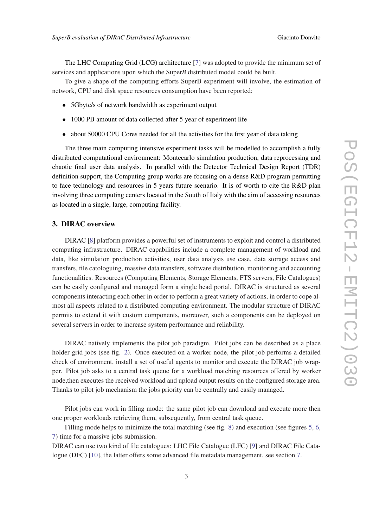The LHC Computing Grid (LCG) architecture [[7](#page-12-0)] was adopted to provide the minimum set of services and applications upon which the Super*B* distributed model could be built.

To give a shape of the computing efforts SuperB experiment will involve, the estimation of network, CPU and disk space resources consumption have been reported:

- 5Gbyte/s of network bandwidth as experiment output
- 1000 PB amount of data collected after 5 year of experiment life
- about 50000 CPU Cores needed for all the activities for the first year of data taking

The three main computing intensive experiment tasks will be modelled to accomplish a fully distributed computational environment: Montecarlo simulation production, data reprocessing and chaotic final user data analysis. In parallel with the Detector Technical Design Report (TDR) definition support, the Computing group works are focusing on a dense R&D program permitting to face technology and resources in 5 years future scenario. It is of worth to cite the R&D plan involving three computing centers located in the South of Italy with the aim of accessing resources as located in a single, large, computing facility.

## 3. DIRAC overview

DIRAC [\[8\]](#page-12-0) platform provides a powerful set of instruments to exploit and control a distributed computing infrastructure. DIRAC capabilities include a complete management of workload and data, like simulation production activities, user data analysis use case, data storage access and transfers, file catologuing, massive data transfers, software distribution, monitoring and accounting functionalities. Resources (Computing Elements, Storage Elements, FTS servers, File Catalogues) can be easily configured and managed form a single head portal. DIRAC is structured as several components interacting each other in order to perform a great variety of actions, in order to cope almost all aspects related to a distributed computing environment. The modular structure of DIRAC permits to extend it with custom components, moreover, such a components can be deployed on several servers in order to increase system performance and reliability.

DIRAC natively implements the pilot job paradigm. Pilot jobs can be described as a place holder grid jobs (see fig. [2\)](#page-3-0). Once executed on a worker node, the pilot job performs a detailed check of environment, install a set of useful agents to monitor and execute the DIRAC job wrapper. Pilot job asks to a central task queue for a workload matching resources offered by worker node,then executes the received workload and upload output results on the configured storage area. Thanks to pilot job mechanism the jobs priority can be centrally and easily managed.

Pilot jobs can work in filling mode: the same pilot job can download and execute more then one proper workloads retrieving them, subsequently, from central task queue.

Filling mode helps to minimize the total matching (see fig. [8\)](#page-11-0) and execution (see figures [5](#page-9-0), [6](#page-10-0), [7\)](#page-10-0) time for a massive jobs submission.

DIRAC can use two kind of file catalogues: LHC File Catalogue (LFC) [[9](#page-12-0)] and DIRAC File Catalogue (DFC) [\[10](#page-12-0)], the latter offers some advanced file metadata management, see section [7](#page-7-0).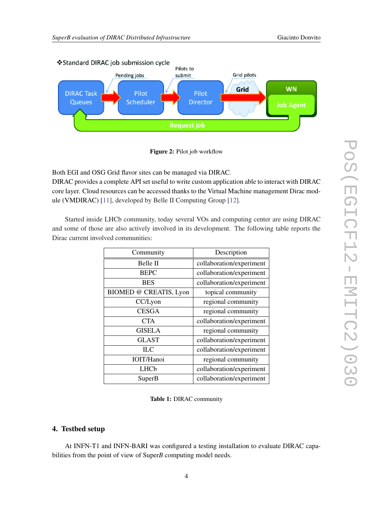<span id="page-3-0"></span>



Both EGI and OSG Grid flavor sites can be managed via DIRAC.

DIRAC provides a complete API set useful to write custom application able to interact with DIRAC core layer. Cloud resources can be accessed thanks to the Virtual Machine management Dirac module (VMDIRAC) [\[11](#page-12-0)], developed by Belle II Computing Group [[12\]](#page-12-0).

Started inside LHCb community, today several VOs and computing center are using DIRAC and some of those are also actively involved in its development. The following table reports the Dirac current involved communities:

| Community              | Description              |
|------------------------|--------------------------|
| Belle II               | collaboration/experiment |
| <b>BEPC</b>            | collaboration/experiment |
| <b>BES</b>             | collaboration/experiment |
| BIOMED @ CREATIS, Lyon | topical community        |
| CC/Lyon                | regional community       |
| <b>CESGA</b>           | regional community       |
| <b>CTA</b>             | collaboration/experiment |
| <b>GISELA</b>          | regional community       |
| <b>GLAST</b>           | collaboration/experiment |
| $\Pi \mathcal{L}$      | collaboration/experiment |
| <b>IOIT/Hanoi</b>      | regional community       |
| LHCb                   | collaboration/experiment |
| SuperB                 | collaboration/experiment |

Table 1: DIRAC community

### 4. Testbed setup

At INFN-T1 and INFN-BARI was configured a testing installation to evaluate DIRAC capabilities from the point of view of Super*B* computing model needs.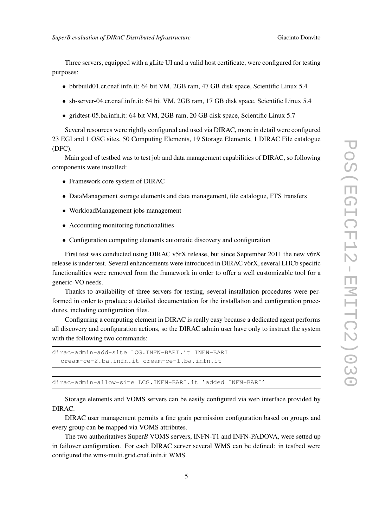Three servers, equipped with a gLite UI and a valid host certificate, were configured for testing purposes:

- bbrbuild01.cr.cnaf.infn.it: 64 bit VM, 2GB ram, 47 GB disk space, Scientific Linux 5.4
- sb-server-04.cr.cnaf.infn.it: 64 bit VM, 2GB ram, 17 GB disk space, Scientific Linux 5.4
- gridtest-05.ba.infn.it: 64 bit VM, 2GB ram, 20 GB disk space, Scientific Linux 5.7

Several resources were rightly configured and used via DIRAC, more in detail were configured 23 EGI and 1 OSG sites, 50 Computing Elements, 19 Storage Elements, 1 DIRAC File catalogue (DFC).

Main goal of testbed was to test job and data management capabilities of DIRAC, so following components were installed:

- Framework core system of DIRAC
- DataManagement storage elements and data management, file catalogue, FTS transfers
- WorkloadManagement jobs management
- Accounting monitoring functionalities
- Configuration computing elements automatic discovery and configuration

First test was conducted using DIRAC v5rX release, but since September 2011 the new v6rX release is under test. Several enhancements were introduced in DIRAC v6rX, several LHCb specific functionalities were removed from the framework in order to offer a well customizable tool for a generic-VO needs.

Thanks to availability of three servers for testing, several installation procedures were performed in order to produce a detailed documentation for the installation and configuration procedures, including configuration files.

Configuring a computing element in DIRAC is really easy because a dedicated agent performs all discovery and configuration actions, so the DIRAC admin user have only to instruct the system with the following two commands:

```
dirac-admin-add-site LCG.INFN-BARI.it INFN-BARI
  cream-ce-2.ba.infn.it cream-ce-1.ba.infn.it
```
dirac-admin-allow-site LCG.INFN-BARI.it 'added INFN-BARI'

Storage elements and VOMS servers can be easily configured via web interface provided by DIRAC.

DIRAC user management permits a fine grain permission configuration based on groups and every group can be mapped via VOMS attributes.

The two authoritatives Super*B* VOMS servers, INFN-T1 and INFN-PADOVA, were setted up in failover configuration. For each DIRAC server several WMS can be defined: in testbed were configured the wms-multi.grid.cnaf.infn.it WMS.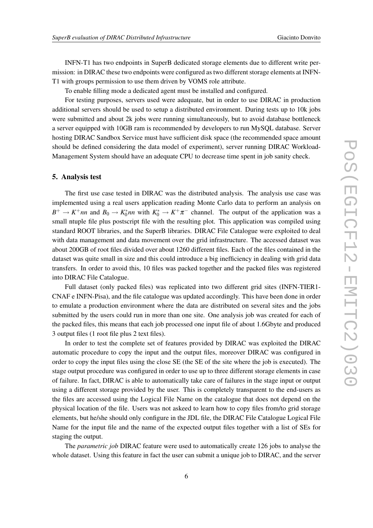INFN-T1 has two endpoints in SuperB dedicated storage elements due to different write permission: in DIRAC these two endpoints were configured as two different storage elements at INFN-T1 with groups permission to use them driven by VOMS role attribute.

To enable filling mode a dedicated agent must be installed and configured.

For testing purposes, servers used were adequate, but in order to use DIRAC in production additional servers should be used to setup a distributed environment. During tests up to 10k jobs were submitted and about 2k jobs were running simultaneously, but to avoid database bottleneck a server equipped with 10GB ram is recommended by developers to run MySQL database. Server hosting DIRAC Sandbox Service must have sufficient disk space (the recommended space amount should be defined considering the data model of experiment), server running DIRAC Workload-Management System should have an adequate CPU to decrease time spent in job sanity check.

### 5. Analysis test

The first use case tested in DIRAC was the distributed analysis. The analysis use case was implemented using a real users application reading Monte Carlo data to perform an analysis on  $B^+ \to K^+nn$  and  $B_0 \to K_0^*nn$  with  $K_0^* \to K^+\pi^-$  channel. The output of the application was a small ntuple file plus postscript file with the resulting plot. This application was compiled using standard ROOT libraries, and the SuperB libraries. DIRAC File Catalogue were exploited to deal with data management and data movement over the grid infrastructure. The accessed dataset was about 200GB of root files divided over about 1260 different files. Each of the files contained in the dataset was quite small in size and this could introduce a big inefficiency in dealing with grid data transfers. In order to avoid this, 10 files was packed together and the packed files was registered into DIRAC File Catalogue.

Full dataset (only packed files) was replicated into two different grid sites (INFN-TIER1- CNAF e INFN-Pisa), and the file catalogue was updated accordingly. This have been done in order to emulate a production environment where the data are distributed on several sites and the jobs submitted by the users could run in more than one site. One analysis job was created for each of the packed files, this means that each job processed one input file of about 1.6Gbyte and produced 3 output files (1 root file plus 2 text files).

In order to test the complete set of features provided by DIRAC was exploited the DIRAC automatic procedure to copy the input and the output files, moreover DIRAC was configured in order to copy the input files using the close SE (the SE of the site where the job is executed). The stage output procedure was configured in order to use up to three different storage elements in case of failure. In fact, DIRAC is able to automatically take care of failures in the stage input or output using a different storage provided by the user. This is completely transparent to the end-users as the files are accessed using the Logical File Name on the catalogue that does not depend on the physical location of the file. Users was not askeed to learn how to copy files from/to grid storage elements, but he/she should only configure in the JDL file, the DIRAC File Catalogue Logical File Name for the input file and the name of the expected output files together with a list of SEs for staging the output.

The *parametric job* DIRAC feature were used to automatically create 126 jobs to analyse the whole dataset. Using this feature in fact the user can submit a unique job to DIRAC, and the server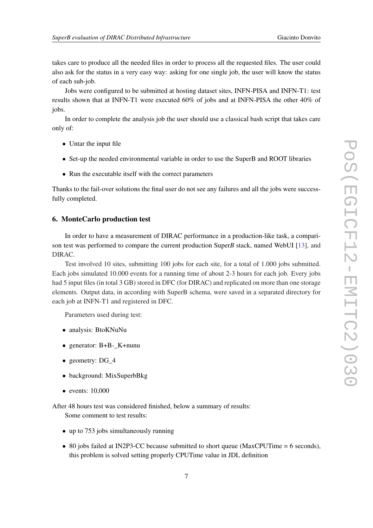takes care to produce all the needed files in order to process all the requested files. The user could also ask for the status in a very easy way: asking for one single job, the user will know the status of each sub-job.

Jobs were configured to be submitted at hosting dataset sites, INFN-PISA and INFN-T1: test results shown that at INFN-T1 were executed 60% of jobs and at INFN-PISA the other 40% of jobs.

In order to complete the analysis job the user should use a classical bash script that takes care only of:

- Untar the input file
- Set-up the needed environmental variable in order to use the SuperB and ROOT libraries
- Run the executable itself with the correct parameters

Thanks to the fail-over solutions the final user do not see any failures and all the jobs were successfully completed.

#### 6. MonteCarlo production test

In order to have a measurement of DIRAC performance in a production-like task, a comparison test was performed to compare the current production Super*B* stack, named WebUI [[13\]](#page-12-0), and DIRAC.

Test involved 10 sites, submitting 100 jobs for each site, for a total of 1.000 jobs submitted. Each jobs simulated 10.000 events for a running time of about 2-3 hours for each job. Every jobs had 5 input files (in total 3 GB) stored in DFC (for DIRAC) and replicated on more than one storage elements. Output data, in according with SuperB schema, were saved in a separated directory for each job at INFN-T1 and registered in DFC.

Parameters used during test:

- analysis: BtoKNuNu
- generator: B+B-<sub>K+nunu</sub>
- geometry: DG\_4
- background: MixSuperbBkg
- events: 10,000

After 48 hours test was considered finished, below a summary of results:

Some comment to test results:

- up to 753 jobs simultaneously running
- 80 jobs failed at IN2P3-CC because submitted to short queue (MaxCPUTime = 6 seconds), this problem is solved setting properly CPUTime value in JDL definition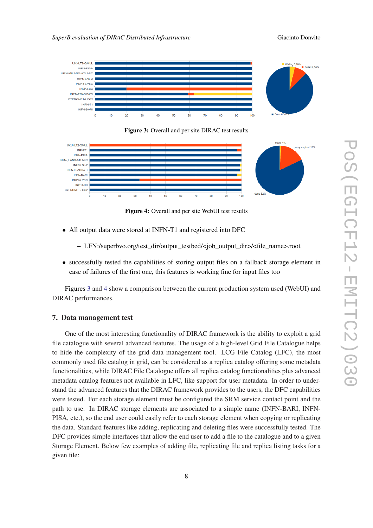<span id="page-7-0"></span>

Figure 3: Overall and per site DIRAC test results



Figure 4: Overall and per site WebUI test results

- All output data were stored at INFN-T1 and registered into DFC
	- LFN:/superbvo.org/test\_dir/output\_testbed/<job\_output\_dir>/<file\_name>.root
- successfully tested the capabilities of storing output files on a fallback storage element in case of failures of the first one, this features is working fine for input files too

Figures 3 and 4 show a comparison between the current production system used (WebUI) and DIRAC performances.

#### 7. Data management test

One of the most interesting functionality of DIRAC framework is the ability to exploit a grid file catalogue with several advanced features. The usage of a high-level Grid File Catalogue helps to hide the complexity of the grid data management tool. LCG File Catalog (LFC), the most commonly used file catalog in grid, can be considered as a replica catalog offering some metadata functionalities, while DIRAC File Catalogue offers all replica catalog functionalities plus advanced metadata catalog features not available in LFC, like support for user metadata. In order to understand the advanced features that the DIRAC framework provides to the users, the DFC capabilities were tested. For each storage element must be configured the SRM service contact point and the path to use. In DIRAC storage elements are associated to a simple name (INFN-BARI, INFN-PISA, etc.), so the end user could easily refer to each storage element when copying or replicating the data. Standard features like adding, replicating and deleting files were successfully tested. The DFC provides simple interfaces that allow the end user to add a file to the catalogue and to a given Storage Element. Below few examples of adding file, replicating file and replica listing tasks for a given file: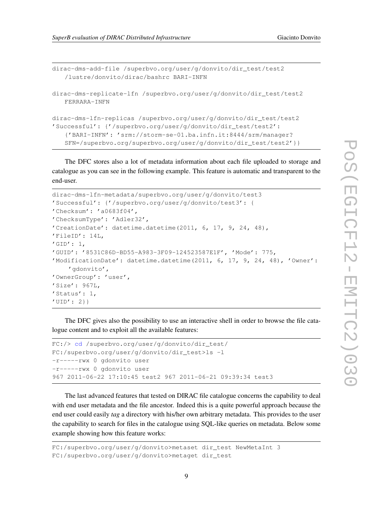```
dirac-dms-add-file /superbvo.org/user/g/donvito/dir_test/test2
   /lustre/donvito/dirac/bashrc BARI-INFN
dirac-dms-replicate-lfn /superbvo.org/user/g/donvito/dir_test/test2
   FERRARA-INFN
dirac-dms-lfn-replicas /superbvo.org/user/g/donvito/dir_test/test2
'Successful': {'/superbvo.org/user/g/donvito/dir_test/test2':
   {'BARI-INFN': 'srm://storm-se-01.ba.infn.it:8444/srm/manager?
   SFN=/superbvo.org/superbvo.org/user/g/donvito/dir_test/test2'}}
```
The DFC stores also a lot of metadata information about each file uploaded to storage and catalogue as you can see in the following example. This feature is automatic and transparent to the end-user.

```
dirac-dms-lfn-metadata/superbvo.org/user/g/donvito/test3
'Successful': {'/superbvo.org/user/g/donvito/test3': {
'Checksum': 'a0683f04',
'ChecksumType': 'Adler32',
'CreationDate': datetime.datetime(2011, 6, 17, 9, 24, 48),
'FileID': 14L,
'GID': 1,'GUID': '8531C86D-BD55-A983-3F09-124523587E1F', 'Mode': 775,
'ModificationDate': datetime.datetime(2011, 6, 17, 9, 24, 48), 'Owner':
    'gdonvito',
'OwnerGroup': 'user',
'Size': 967L,
'Status': 1,
'UID': 2}}
```
The DFC gives also the possibility to use an interactive shell in order to browse the file catalogue content and to exploit all the available features:

```
FC:/> cd /superbvo.org/user/g/donvito/dir_test/
FC:/superbvo.org/user/g/donvito/dir_test>ls -l
-r-----rwx 0 gdonvito user
-r-----rwx 0 gdonvito user
967 2011-06-22 17:10:45 test2 967 2011-06-21 09:39:34 test3
```
The last advanced features that tested on DIRAC file catalogue concerns the capability to deal with end user metadata and the file ancestor. Indeed this is a quite powerful approach because the end user could easily *tag* a directory with his/her own arbitrary metadata. This provides to the user the capability to search for files in the catalogue using SQL-like queries on metadata. Below some example showing how this feature works:

```
FC:/superbvo.org/user/g/donvito>metaset dir_test NewMetaInt 3
FC:/superbvo.org/user/g/donvito>metaget dir_test
```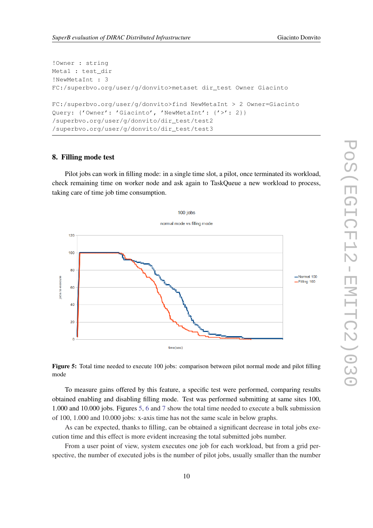```
!Owner : string
Meta1 : test_dir
!NewMetaInt : 3
FC:/superbvo.org/user/g/donvito>metaset dir_test Owner Giacinto
FC:/superbvo.org/user/g/donvito>find NewMetaInt > 2 Owner=Giacinto
Query: {'Owner': 'Giacinto', 'NewMetaInt': {'>': 2}}
/superbvo.org/user/g/donvito/dir_test/test2
/superbvo.org/user/g/donvito/dir_test/test3
```
#### 8. Filling mode test

Pilot jobs can work in filling mode: in a single time slot, a pilot, once terminated its workload, check remaining time on worker node and ask again to TaskQueue a new workload to process, taking care of time job time consumption.



Figure 5: Total time needed to execute 100 jobs: comparison between pilot normal mode and pilot filling mode

To measure gains offered by this feature, a specific test were performed, comparing results obtained enabling and disabling filling mode. Test was performed submitting at same sites 100, 1.000 and 10.000 jobs. Figures 5, [6](#page-10-0) and [7](#page-10-0) show the total time needed to execute a bulk submission of 100, 1.000 and 10.000 jobs: x-axis time has not the same scale in below graphs.

As can be expected, thanks to filling, can be obtained a significant decrease in total jobs execution time and this effect is more evident increasing the total submitted jobs number.

From a user point of view, system executes one job for each workload, but from a grid perspective, the number of executed jobs is the number of pilot jobs, usually smaller than the number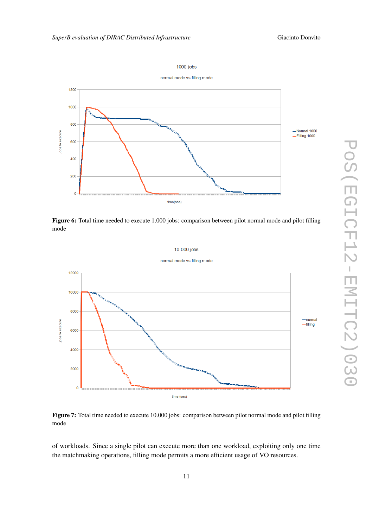#### 1000 jobs

<span id="page-10-0"></span>

Figure 6: Total time needed to execute 1.000 jobs: comparison between pilot normal mode and pilot filling mode



Figure 7: Total time needed to execute 10.000 jobs: comparison between pilot normal mode and pilot filling mode

of workloads. Since a single pilot can execute more than one workload, exploiting only one time the matchmaking operations, filling mode permits a more efficient usage of VO resources.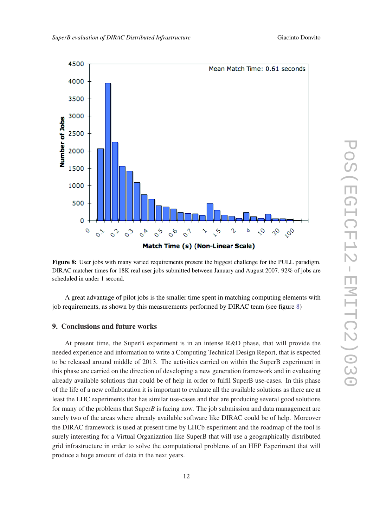<span id="page-11-0"></span>

Figure 8: User jobs with many varied requirements present the biggest challenge for the PULL paradigm. DIRAC matcher times for 18K real user jobs submitted between January and August 2007. 92% of jobs are scheduled in under 1 second.

A great advantage of pilot jobs is the smaller time spent in matching computing elements with job requirements, as shown by this measurements performed by DIRAC team (see figure 8)

# 9. Conclusions and future works

At present time, the SuperB experiment is in an intense R&D phase, that will provide the needed experience and information to write a Computing Technical Design Report, that is expected to be released around middle of 2013. The activities carried on within the SuperB experiment in this phase are carried on the direction of developing a new generation framework and in evaluating already available solutions that could be of help in order to fulfil SuperB use-cases. In this phase of the life of a new collaboration it is important to evaluate all the available solutions as there are at least the LHC experiments that has similar use-cases and that are producing several good solutions for many of the problems that Super*B* is facing now. The job submission and data management are surely two of the areas where already available software like DIRAC could be of help. Moreover the DIRAC framework is used at present time by LHCb experiment and the roadmap of the tool is surely interesting for a Virtual Organization like SuperB that will use a geographically distributed grid infrastructure in order to solve the computational problems of an HEP Experiment that will produce a huge amount of data in the next years.